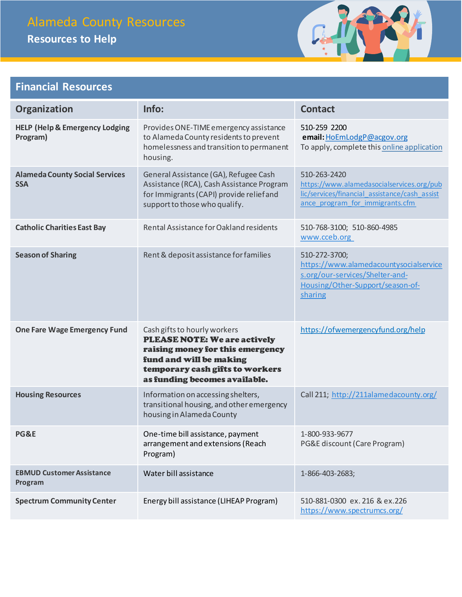## Alameda County Resources

**Resources to Help**



### **Financial Resources**

| Organization                                          | Info:                                                                                                                                                                                                  | <b>Contact</b>                                                                                                                                |
|-------------------------------------------------------|--------------------------------------------------------------------------------------------------------------------------------------------------------------------------------------------------------|-----------------------------------------------------------------------------------------------------------------------------------------------|
| <b>HELP (Help &amp; Emergency Lodging</b><br>Program) | Provides ONE-TIME emergency assistance<br>to Alameda County residents to prevent<br>homelessness and transition to permanent<br>housing.                                                               | 510-259 2200<br>email: HoEmLodgP@acgov.org<br>To apply, complete this online application                                                      |
| <b>Alameda County Social Services</b><br><b>SSA</b>   | General Assistance (GA), Refugee Cash<br>Assistance (RCA), Cash Assistance Program<br>for Immigrants (CAPI) provide relief and<br>support to those who qualify.                                        | 510-263-2420<br>https://www.alamedasocialservices.org/pub<br>lic/services/financial_assistance/cash_assist<br>ance program for immigrants.cfm |
| <b>Catholic Charities East Bay</b>                    | Rental Assistance for Oakland residents                                                                                                                                                                | 510-768-3100; 510-860-4985<br>www.cceb.org                                                                                                    |
| <b>Season of Sharing</b>                              | Rent & deposit assistance for families                                                                                                                                                                 | 510-272-3700;<br>https://www.alamedacountysocialservice<br>s.org/our-services/Shelter-and-<br>Housing/Other-Support/season-of-<br>sharing     |
| <b>One Fare Wage Emergency Fund</b>                   | Cash gifts to hourly workers<br><b>PLEASE NOTE: We are actively</b><br>raising money for this emergency<br>fund and will be making<br>temporary cash gifts to workers<br>as funding becomes available. | https://ofwemergencyfund.org/help                                                                                                             |
| <b>Housing Resources</b>                              | Information on accessing shelters,<br>transitional housing, and other emergency<br>housing in Alameda County                                                                                           | Call 211; http://211alamedacounty.org/                                                                                                        |
| PG&E                                                  | One-time bill assistance, payment<br>arrangement and extensions (Reach<br>Program)                                                                                                                     | 1-800-933-9677<br>PG&E discount (Care Program)                                                                                                |
| <b>EBMUD Customer Assistance</b><br>Program           | Water bill assistance                                                                                                                                                                                  | 1-866-403-2683;                                                                                                                               |
| <b>Spectrum Community Center</b>                      | Energy bill assistance (LIHEAP Program)                                                                                                                                                                | 510-881-0300 ex. 216 & ex. 226<br>https://www.spectrumcs.org/                                                                                 |